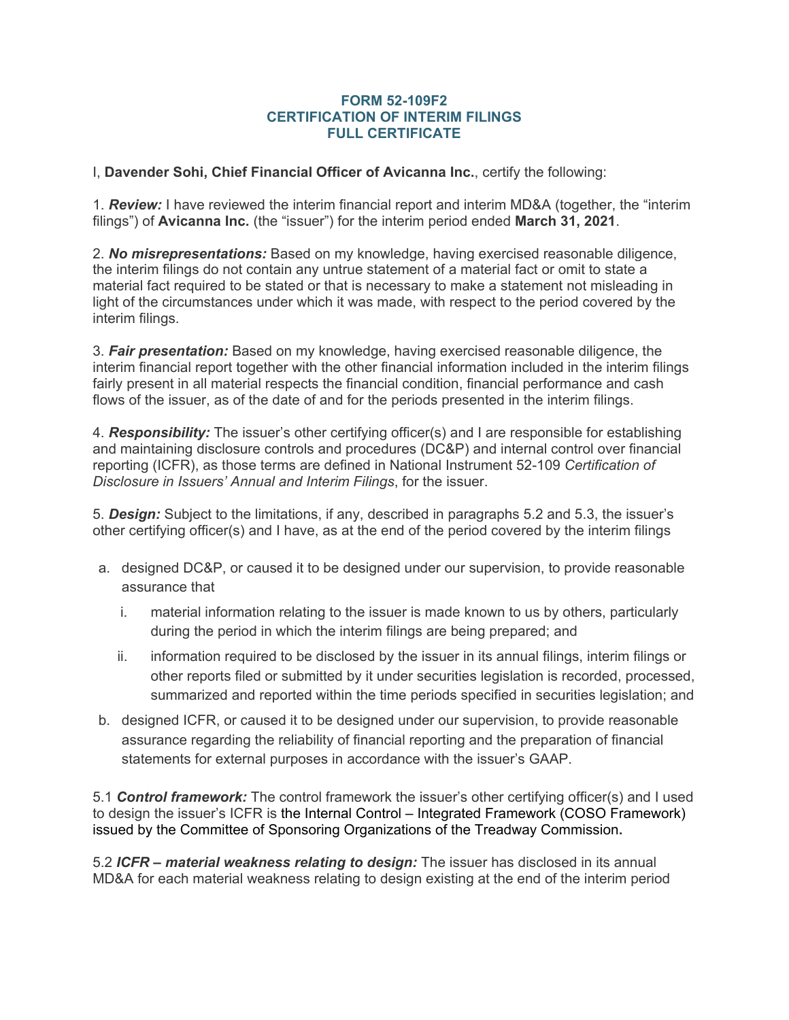## **FORM 52-109F2 CERTIFICATION OF INTERIM FILINGS FULL CERTIFICATE**

I, **Davender Sohi, Chief Financial Officer of Avicanna Inc.**, certify the following:

1. *Review:* I have reviewed the interim financial report and interim MD&A (together, the "interim filings") of **Avicanna Inc.** (the "issuer") for the interim period ended **March 31, 2021**.

2. *No misrepresentations:* Based on my knowledge, having exercised reasonable diligence, the interim filings do not contain any untrue statement of a material fact or omit to state a material fact required to be stated or that is necessary to make a statement not misleading in light of the circumstances under which it was made, with respect to the period covered by the interim filings.

3. *Fair presentation:* Based on my knowledge, having exercised reasonable diligence, the interim financial report together with the other financial information included in the interim filings fairly present in all material respects the financial condition, financial performance and cash flows of the issuer, as of the date of and for the periods presented in the interim filings.

4. *Responsibility:* The issuer's other certifying officer(s) and I are responsible for establishing and maintaining disclosure controls and procedures (DC&P) and internal control over financial reporting (ICFR), as those terms are defined in National Instrument 52-109 *Certification of Disclosure in Issuers' Annual and Interim Filings*, for the issuer.

5. *Design:* Subject to the limitations, if any, described in paragraphs 5.2 and 5.3, the issuer's other certifying officer(s) and I have, as at the end of the period covered by the interim filings

- a. designed DC&P, or caused it to be designed under our supervision, to provide reasonable assurance that
	- i. material information relating to the issuer is made known to us by others, particularly during the period in which the interim filings are being prepared; and
	- ii. information required to be disclosed by the issuer in its annual filings, interim filings or other reports filed or submitted by it under securities legislation is recorded, processed, summarized and reported within the time periods specified in securities legislation; and
- b. designed ICFR, or caused it to be designed under our supervision, to provide reasonable assurance regarding the reliability of financial reporting and the preparation of financial statements for external purposes in accordance with the issuer's GAAP.

5.1 *Control framework:* The control framework the issuer's other certifying officer(s) and I used to design the issuer's ICFR is the Internal Control – Integrated Framework (COSO Framework) issued by the Committee of Sponsoring Organizations of the Treadway Commission**.**

5.2 *ICFR – material weakness relating to design:* The issuer has disclosed in its annual MD&A for each material weakness relating to design existing at the end of the interim period